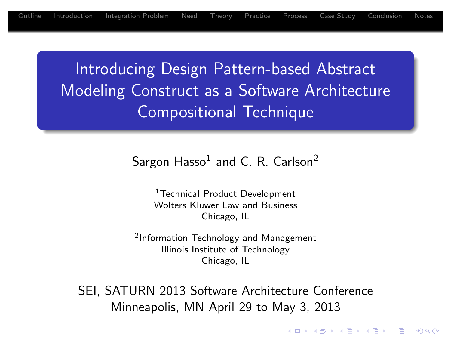Introducing Design Pattern-based Abstract Modeling Construct as a Software Architecture Compositional Technique

Sargon  $\mathsf{Hasso}^1$  and C. R. Carlson<sup>2</sup>

<sup>1</sup> [T](#page-11-0)[echnic](#page-17-0)[al](#page-20-0) Product Development Wolters Kluwer Law and Business Chicago, IL

2 Information Technology and Management Illinois Institute of Technology Chicago, IL

SEI, SATURN 2013 Software Architecture Conference Minneapolis, MN April 29 to May 3, 2013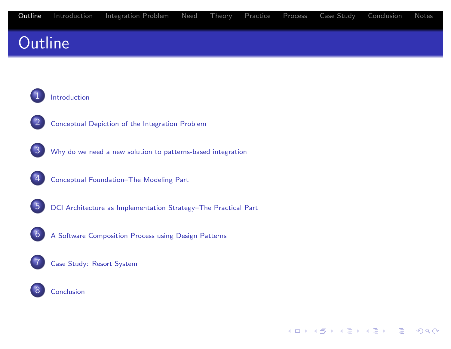## **Outline**

#### **Introduction**



2 Conceptual Depiction of the Integration Problem

 $3$  Why do we need a new solution to patterns-based integration

- 4 Conceptual Foundation–The Modeling Part
- 5 DCI Architecture as Implementation Strategy–The Practical Part
- [6](#page-2-0) A Software Composition Process using Design Patterns

#### [Case](#page-4-0) [Study:](#page-4-0) [Resort](#page-4-0) System

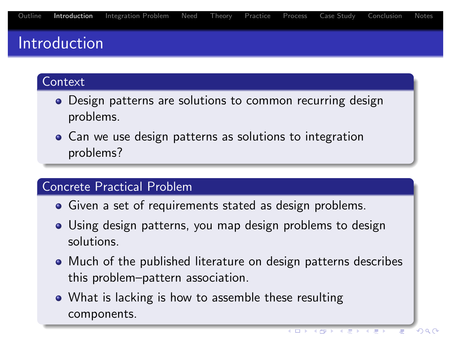### Introduction

#### **Context**

- Design patterns are solutions to common recurring design problems.
- Can we use design patterns as solutions to integration problems?

### Concrete Practical Problem

- Given a set of requirements stated as design problems.
- Using design patterns, you map design problems to design solutions.
- Much of the published literature on design patterns describes this problem–pattern association.
- <span id="page-2-0"></span>• What is lacking is how to assemble these resulting components.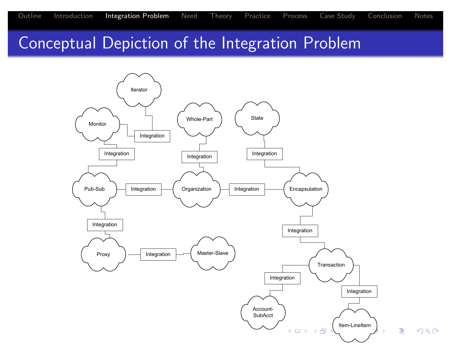### Conceptual Depiction of the Integration Problem

<span id="page-3-0"></span>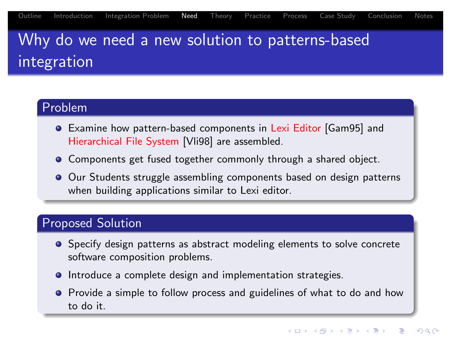# Why do we need a new solution to patterns-based integration

#### Problem

- Examine how pattern-based components in Lexi Editor [Gam95] and Hierarchical File System [Vli98] are assembled.
- Components get fused together commonly through a shared object.
- Our Students struggle assembling components based on design patterns [wh](#page-3-0)[en](#page-4-0) [bui](#page-5-0)[ldin](#page-7-0)[g ap](#page-10-0)[plica](#page-11-0)[tions](#page-17-0) [sim](#page-20-0)ilar to Lexi editor.

### Proposed Solution

- Specify design pa[ttern](#page-21-0)s as abstract modeling elements to solve concrete sof[twa](#page-21-1)re composition problems.
- **•** Introduce a complete design and implementation strategies.
- <span id="page-4-0"></span>• Provide a simple to follow process and guidelines of what to do and how to do it.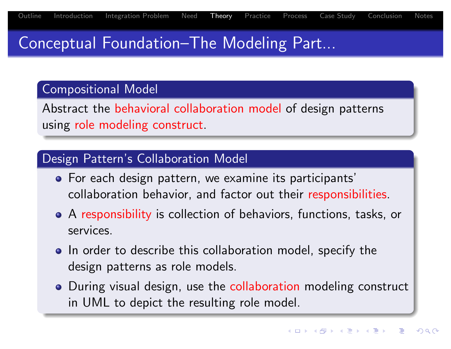### Conceptual Foundation–The Modeling Part...

#### Compositional Model

Abstract the behavioral collaboration model of design patterns using role modeling construct.

### Design Pattern's Collaboration Model

- For each design pattern, we examine its participants' [co](#page-3-0)[lla](#page-4-0)[bor](#page-5-0)[ati](#page-7-0)[on](#page-10-0) [beha](#page-11-0)[vior](#page-17-0), [a](#page-20-0)nd factor out their responsibilities.
- A responsibility is collection of behaviors, functions, tasks, or services.
- In order to describe this collaboration model, specify the design patterns as role models.
- <span id="page-5-0"></span>• During visual design, use the collaboration modeling construct in UML to depict the resulting role model.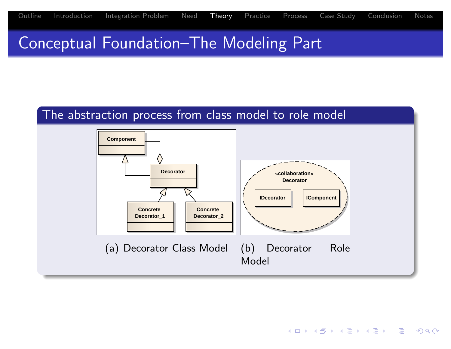### Conceptual Foundation–The Modeling Part

#### The abstraction process from class model to role model

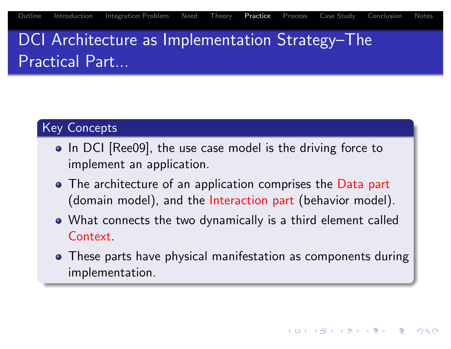# DCI Architecture as Implementation Strategy–The Practical Part...

#### Key Concepts

- In DCI [Ree09], the use case model is the driving force to implement an application.
- The architecture of an application comprises the Data part [\(d](#page-3-0)[om](#page-4-0)[ai](#page-5-0)[n](#page-7-0) [m](#page-7-0)[ode](#page-10-0)[l\),](#page-11-0) [a](#page-11-0)[nd](#page-17-0) [t](#page-17-0)[he](#page-20-0) Interaction part (behavior model).
- What connects the two dynamically is a third element called Context.
- <span id="page-7-0"></span>**• These parts have physical manifestation as components during** implementation.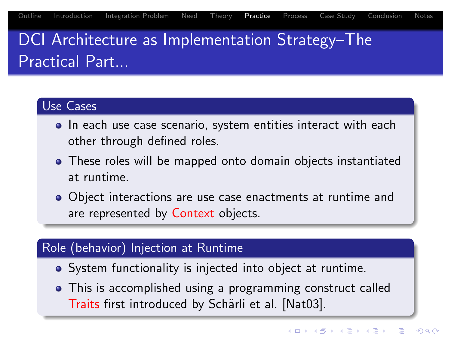# DCI Architecture as Implementation Strategy–The Practical Part...

### Use Cases

- In each use case scenario, system entities interact with each other through defined roles.
- These roles will be mapped onto domain objects instantiated at runtime.
- [O](#page-3-0)[bje](#page-4-0)[ct](#page-5-0) [inte](#page-7-0)[rac](#page-10-0)[tion](#page-11-0)[s are](#page-17-0) [u](#page-20-0)se case enactments at runtime and are represented by Context objects.

### Role (behavior) Injection at Runtime

- System functionality is injected into object at runtime.
- This is accomplished using a programming construct called Traits first introduced by Schärli et al. [Nat03].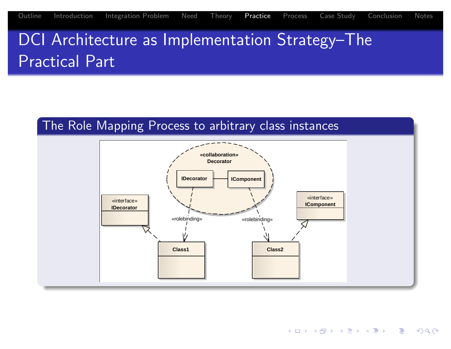DCI Architecture as Implementation Strategy-The Practical Part

#### The Role Mapping Process to arbitrary class instances

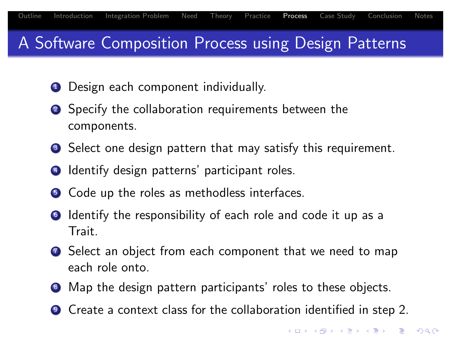### A Software Composition Process using Design Patterns

- **1** Design each component individually.
- 2 Specify the collaboration requirements between the components.
- **3** Select one design pattern that may satisfy this requirement.
- **4** Identify design patterns' participant roles.
- **5** [C](#page-3-0)[ode](#page-4-0) [u](#page-5-0)[p th](#page-7-0)[e r](#page-10-0)[oles](#page-11-0) [as m](#page-17-0)[et](#page-20-0)hodless interfaces.
- **6** Identify the responsibility of each role and code it up as a Trait.
- **2** Select an object from each component that we need to map each role onto.
- 8 Map the design pattern participants' roles to these objects.
- <span id="page-10-0"></span><sup>9</sup> Create a context class for the collaboration identified in step 2.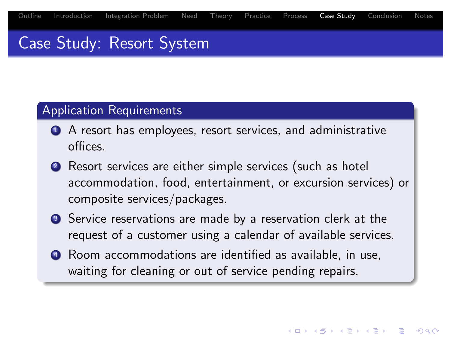### Case Study: Resort System

#### Application Requirements

- **1** A resort has employees, resort services, and administrative offices.
- 2 Resort services are either simple services (such as hotel accommodation, food, entertainment, or excursion services) or [co](#page-3-0)[m](#page-4-0)[pos](#page-5-0)[ite](#page-7-0) [ser](#page-10-0)[vices](#page-11-0)[/pa](#page-17-0)[cka](#page-20-0)ges.
- <sup>3</sup> Service reservations are made by a reservation clerk at the request of a customer using a calendar of available services.
- <span id="page-11-0"></span>**4** Room accommodations are identified as available, in use, waiting for cleaning or out of service pending repairs.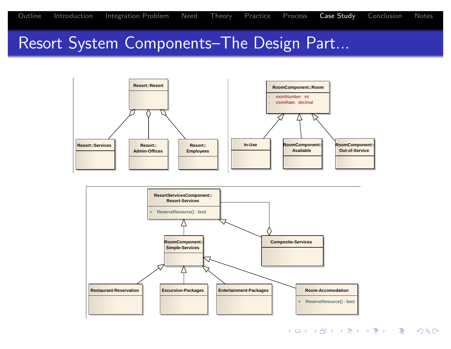### Resort System Components–The Design Part...



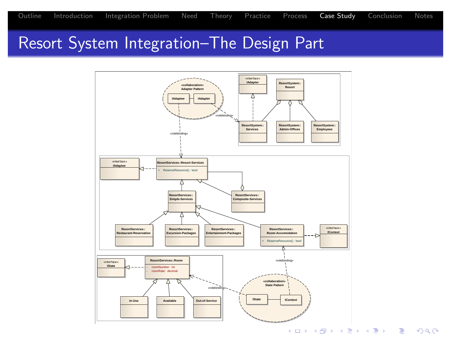### Resort System Integration–The Design Part

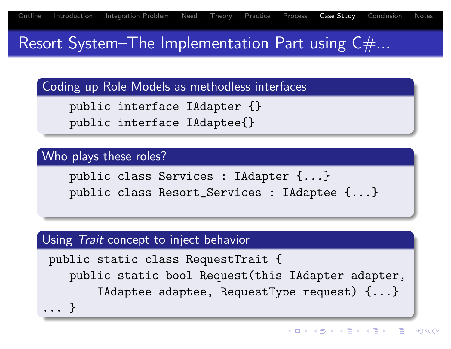Resort System–The Implementation Part using  $C#...$ 

Coding up Role Models as methodless interfaces

```
public interface IAdapter {}
public interface IAdaptee{}
```
### Who plays these roles?

public class Services : IAdapter {...} [p](#page-3-0)[ub](#page-4-0)[lic](#page-5-0) [c](#page-7-0)[las](#page-10-0)[s R](#page-11-0)[esor](#page-17-0)[t\\_](#page-20-0)Services : IAdaptee {...}

### Using Trait concept to inject behavior

```
public static class RequestTrait {
   public static bool Request(this IAdapter adapter,
       IAdaptee adaptee, RequestType request) {...}
... }
```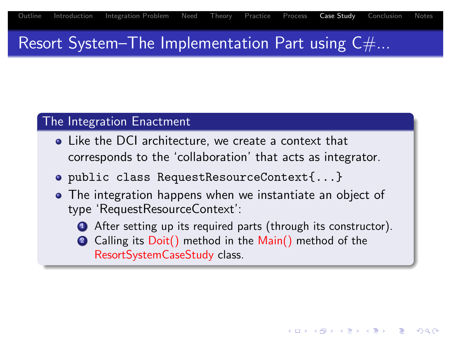## Resort System–The Implementation Part using  $C#...$

### The Integration Enactment

- Like the DCI architecture, we create a context that corresponds to the 'collaboration' that acts as integrator.
- public class RequestResourceContext{...}
- [T](#page-3-0)[he](#page-4-0) [int](#page-5-0)[egr](#page-7-0)[atio](#page-10-0)[n ha](#page-11-0)[ppe](#page-17-0)[ns](#page-20-0) when we instantiate an object of type 'RequestResourceContext':
	- **1** After setting up its required parts (through its constructor).
	- 2 Calling its Doit() method in the Main() method of the ResortSystemCaseStudy class.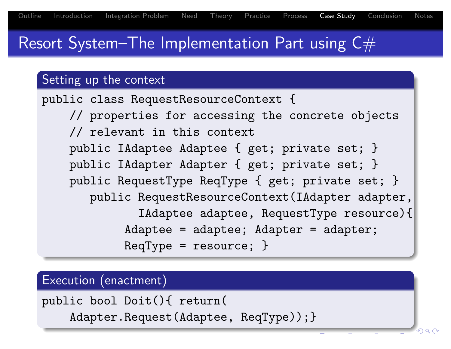## Resort System–The Implementation Part using  $C#$

### Setting up the context

```
public class RequestResourceContext {
    // properties for accessing the concrete objects
    // relevant in this context
    public IAdaptee Adaptee { get; private set; }
    public IAdapter Adapter { get; private set; }
    public RequestType ReqType { get; private set; }
       public RequestResourceContext(IAdapter adapter,
              IAdaptee adaptee, RequestType resource){
            Adaptee = adaptee; Adapter = adapter;
            RegType = resource;}
```
#### Execution (enactment)

public bool Doit(){ return(

Adapter.Request(Adaptee, ReqType));}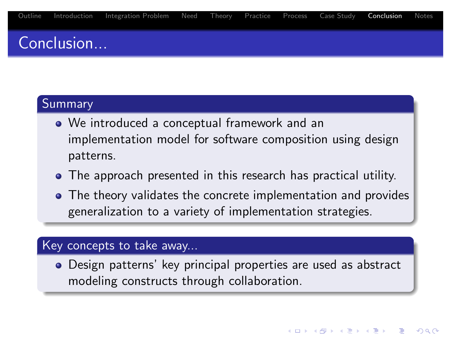## Conclusion...

#### Summary

- We introduced a conceptual framework and an implementation model for software composition using design patterns.
- The approach presented in this research has practical utility.
- [T](#page-3-0)[he](#page-20-0) [the](#page-5-0)[ory](#page-7-0) [va](#page-10-0)l[idat](#page-11-0)[es t](#page-17-0)he concrete implementation and provides generalization to a variety of implementation strategies.

#### Key concepts to take away...

<span id="page-17-0"></span>Design patterns' key principal properties are used as abstract modeling constructs through collaboration.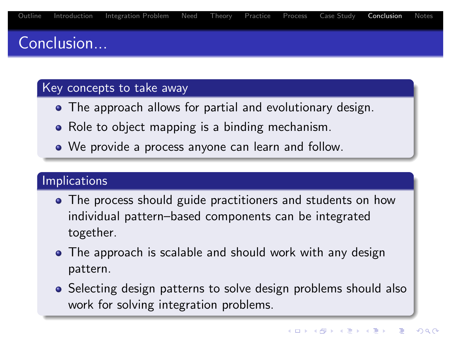## Conclusion...

#### Key concepts to take away

- The approach allows for partial and evolutionary design.
- Role to object mapping is a binding mechanism.
- We provide a process anyone can learn and follow.

### **Implications**

- [T](#page-3-0)[he](#page-4-0) [pro](#page-5-0)[ces](#page-7-0)[s](#page-10-0) s[houl](#page-11-0)[d](#page-17-0) [gu](#page-17-0)[ide](#page-20-0) practitioners and students on how individual pattern–based components can be integrated together.
- The approach is scalable and should work with any design pattern.
- Selecting design patterns to solve design problems should also work for solving integration problems.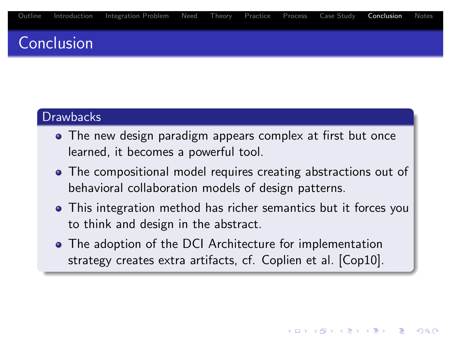### Conclusion

#### **Drawbacks**

- The new design paradigm appears complex at first but once learned, it becomes a powerful tool.
- The compositional model requires creating abstractions out of [be](#page-3-0)[ha](#page-4-0)[vio](#page-5-0)[ral](#page-7-0) [col](#page-10-0)l[abo](#page-11-0)r[atio](#page-17-0)[n m](#page-20-0)odels of design patterns.
- This integration method has richer semantics but it forces you to think and design in the abstract.
- The adoption of the DCI Architecture for implementation strategy creates extra artifacts, cf. Coplien et al. [Cop10].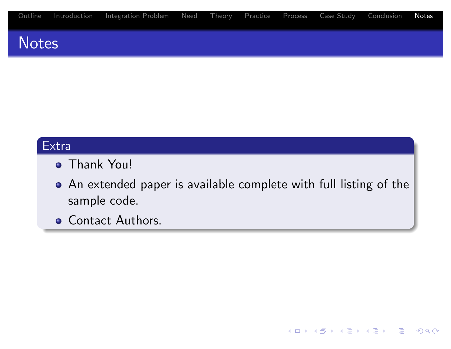|  | Outline Introduction Integration-Problem Need Theory Practice Process Case-Study Conclusion Notes |  |  |  |  |
|--|---------------------------------------------------------------------------------------------------|--|--|--|--|
|  |                                                                                                   |  |  |  |  |

### **Notes**

#### Extra

- **Thank You!**
- An extended paper is available complete with full listing of the [sa](#page-3-0)[m](#page-4-0)[ple](#page-5-0) [cod](#page-7-0)[e.](#page-10-0)
- <span id="page-20-0"></span>**.** Contact Authors.